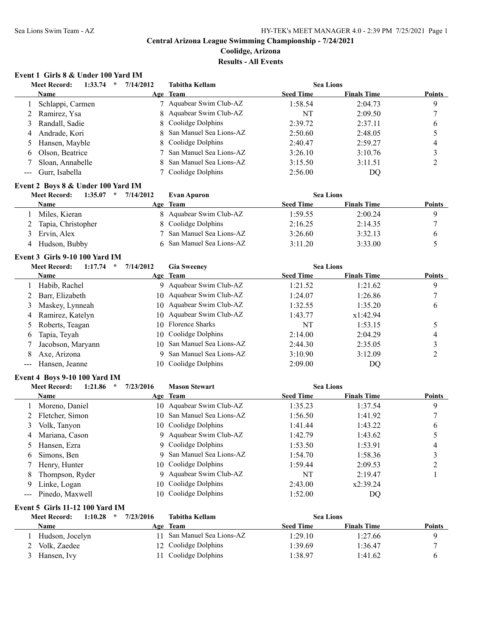# **Coolidge, Arizona**

# **Results - All Events**

# **Event 1 Girls 8 & Under 100 Yard IM**

|   | <b>Meet Record:</b><br>1:33.74<br>$\star$ | 7/14/2012 | Tabitha Kellam            | <b>Sea Lions</b> |                    |               |
|---|-------------------------------------------|-----------|---------------------------|------------------|--------------------|---------------|
|   | Name                                      |           | Age Team                  | <b>Seed Time</b> | <b>Finals Time</b> | <b>Points</b> |
|   | Schlappi, Carmen                          |           | 7 Aquabear Swim Club-AZ   | 1:58.54          | 2:04.73            | 9             |
|   | 2 Ramirez, Ysa                            |           | 8 Aquabear Swim Club-AZ   | NT               | 2:09.50            |               |
|   | 3 Randall, Sadie                          |           | 8 Coolidge Dolphins       | 2:39.72          | 2:37.11            | 6             |
| 4 | Andrade, Kori                             |           | 8 San Manuel Sea Lions-AZ | 2:50.60          | 2:48.05            |               |
|   | 5 Hansen, Mayble                          |           | 8 Coolidge Dolphins       | 2:40.47          | 2:59.27            | 4             |
|   | 6 Olson, Beatrice                         |           | 7 San Manuel Sea Lions-AZ | 3:26.10          | 3:10.76            |               |
|   | Sloan, Annabelle                          |           | 8 San Manuel Sea Lions-AZ | 3:15.50          | 3:11.51            |               |
|   | --- Gurr, Isabella                        |           | Coolidge Dolphins         | 2:56.00          | DQ                 |               |
|   |                                           |           |                           |                  |                    |               |

### **Event 2 Boys 8 & Under 100 Yard IM**

| 1:35.07<br><b>Meet Record:</b><br>$\star$ | 7/14/2012<br><b>Evan Apuron</b> | <b>Sea Lions</b>                       |               |
|-------------------------------------------|---------------------------------|----------------------------------------|---------------|
| Name                                      | <b>Team</b><br>Age              | <b>Seed Time</b><br><b>Finals Time</b> | <b>Points</b> |
| Miles, Kieran                             | 8 Aquabear Swim Club-AZ         | 2:00.24<br>1:59.55                     |               |
| 2 Tapia, Christopher                      | 8 Coolidge Dolphins             | 2:16.25<br>2:14.35                     |               |
| Ervin, Alex                               | 7 San Manuel Sea Lions-AZ       | 3:26.60<br>3:32.13                     |               |
| Hudson, Bubby                             | 6 San Manuel Sea Lions-AZ       | 3:11.20<br>3:33.00                     |               |

### **Event 3 Girls 9-10 100 Yard IM**

|                                                                                                | <b>Meet Record:</b><br>1:17.74<br>$\ast$ | 7/14/2012 | <b>Gia Sweeney</b>         | <b>Sea Lions</b> |                    |               |
|------------------------------------------------------------------------------------------------|------------------------------------------|-----------|----------------------------|------------------|--------------------|---------------|
|                                                                                                | Name                                     |           | Age Team                   | <b>Seed Time</b> | <b>Finals Time</b> | <b>Points</b> |
|                                                                                                | Habib, Rachel                            |           | 9 Aquabear Swim Club-AZ    | 1:21.52          | 1:21.62            | 9             |
|                                                                                                | Barr, Elizabeth                          |           | 10 Aquabear Swim Club-AZ   | 1:24.07          | 1:26.86            |               |
| 3                                                                                              | Maskey, Lynneah                          |           | 10 Aquabear Swim Club-AZ   | 1:32.55          | 1:35.20            | 6             |
| 4                                                                                              | Ramirez, Katelyn                         |           | 10 Aquabear Swim Club-AZ   | 1:43.77          | x1:42.94           |               |
|                                                                                                | Roberts, Teagan                          |           | 10 Florence Sharks         | NT               | 1:53.15            |               |
| 6                                                                                              | Tapia, Teyah                             |           | 10 Coolidge Dolphins       | 2:14.00          | 2:04.29            | 4             |
|                                                                                                | Jacobson, Maryann                        |           | 10 San Manuel Sea Lions-AZ | 2:44.30          | 2:35.05            |               |
| 8                                                                                              | Axe, Arizona                             |           | 9 San Manuel Sea Lions-AZ  | 3:10.90          | 3:12.09            |               |
| $\frac{1}{2} \left( \frac{1}{2} \right) \left( \frac{1}{2} \right) \left( \frac{1}{2} \right)$ | Hansen, Jeanne                           |           | 10 Coolidge Dolphins       | 2:09.00          | DQ                 |               |
|                                                                                                |                                          |           |                            |                  |                    |               |

### **Event 4 Boys 9-10 100 Yard IM**

|    | <b>Meet Record:</b><br>1:21.86 | 7/23/2016<br>$\ast$ | <b>Mason Stewart</b>       | <b>Sea Lions</b> |                    |               |
|----|--------------------------------|---------------------|----------------------------|------------------|--------------------|---------------|
|    | <b>Name</b>                    |                     | Age Team                   | <b>Seed Time</b> | <b>Finals Time</b> | <b>Points</b> |
|    | Moreno, Daniel                 |                     | 10 Aquabear Swim Club-AZ   | 1:35.23          | 1:37.54            | 9             |
|    | Fletcher, Simon                |                     | 10 San Manuel Sea Lions-AZ | 1:56.50          | 1:41.92            |               |
|    | Volk, Tanyon                   |                     | 10 Coolidge Dolphins       | 1:41.44          | 1:43.22            | 6             |
| 4  | Mariana, Cason                 |                     | 9 Aquabear Swim Club-AZ    | 1:42.79          | 1:43.62            |               |
|    | Hansen, Ezra                   |                     | 9 Coolidge Dolphins        | 1:53.50          | 1:53.91            | 4             |
| 6. | Simons, Ben                    |                     | 9 San Manuel Sea Lions-AZ  | 1:54.70          | 1:58.36            |               |
|    | Henry, Hunter                  | 10-                 | Coolidge Dolphins          | 1:59.44          | 2:09.53            |               |
| 8  | Thompson, Ryder                |                     | 9 Aquabear Swim Club-AZ    | NT               | 2:19.47            |               |
| 9  | Linke, Logan                   | 10.                 | Coolidge Dolphins          | 2:43.00          | x2:39.24           |               |
|    | --- Pinedo, Maxwell            | 10.                 | Coolidge Dolphins          | 1:52.00          | DO                 |               |

#### **Event 5 Girls 11-12 100 Yard IM Meet Record: 1:10.28 \* 7/23/2016 Tabitha Kellam Sea Lions**

| Meet Record:<br>1:10.48 | 772372010 | Taditha Kellam            | <b>Sea Lions</b> |                    |               |
|-------------------------|-----------|---------------------------|------------------|--------------------|---------------|
| Name                    |           | Age Team                  | <b>Seed Time</b> | <b>Finals Time</b> | <b>Points</b> |
| Hudson, Jocelyn         |           | 1 San Manuel Sea Lions-AZ | 1:29.10          | 1:27.66            |               |
| Volk, Zaedee            |           | 12 Coolidge Dolphins      | 1:39.69          | 1:36.47            |               |
| Hansen, Ivy             |           | Coolidge Dolphins         | 1:38.97          | 1:41.62            |               |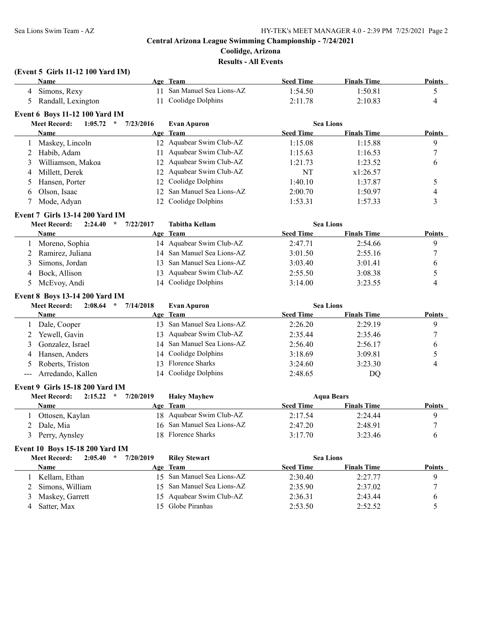# **Central Arizona League Swimming Championship - 7/24/2021 Coolidge, Arizona Results - All Events**

# **(Event 5 Girls 11-12 100 Yard IM)**

|                      | <b>Name</b>                                     |           | Age Team                   | <b>Seed Time</b> | <b>Finals Time</b> | <b>Points</b>            |
|----------------------|-------------------------------------------------|-----------|----------------------------|------------------|--------------------|--------------------------|
|                      | 4 Simons, Rexy                                  | 11        | San Manuel Sea Lions-AZ    | 1:54.50          | 1:50.81            | 5                        |
| 5                    | Randall, Lexington                              | 11        | Coolidge Dolphins          | 2:11.78          | 2:10.83            | 4                        |
|                      | Event 6 Boys 11-12 100 Yard IM                  |           |                            |                  |                    |                          |
|                      | <b>Meet Record:</b><br>1:05.72<br>$\mathcal{R}$ | 7/23/2016 | <b>Evan Apuron</b>         | <b>Sea Lions</b> |                    |                          |
|                      | <b>Name</b>                                     |           | Age Team                   | <b>Seed Time</b> | <b>Finals Time</b> | <b>Points</b>            |
| 1                    | Maskey, Lincoln                                 |           | 12 Aquabear Swim Club-AZ   | 1:15.08          | 1:15.88            | 9                        |
| 2                    | Habib, Adam                                     | 11        | Aquabear Swim Club-AZ      | 1:15.63          | 1:16.53            | 7                        |
| 3                    | Williamson, Makoa                               | 12        | Aquabear Swim Club-AZ      | 1:21.73          | 1:23.52            | 6                        |
| 4                    | Millett, Derek                                  | 12        | Aquabear Swim Club-AZ      | NT               | x1:26.57           |                          |
| 5                    | Hansen, Porter                                  | 12        | Coolidge Dolphins          | 1:40.10          | 1:37.87            | 5                        |
| 6                    | Olson, Isaac                                    | 12        | San Manuel Sea Lions-AZ    | 2:00.70          | 1:50.97            | $\overline{\mathcal{L}}$ |
| 7                    | Mode, Adyan                                     | 12        | Coolidge Dolphins          | 1:53.31          | 1:57.33            | 3                        |
|                      | <b>Event 7 Girls 13-14 200 Yard IM</b>          |           |                            |                  |                    |                          |
|                      | <b>Meet Record:</b><br>2:24.40<br>$\star$       | 7/22/2017 | <b>Tabitha Kellam</b>      | <b>Sea Lions</b> |                    |                          |
|                      | Name                                            |           | Age Team                   | <b>Seed Time</b> | <b>Finals Time</b> | Points                   |
| 1                    | Moreno, Sophia                                  |           | 14 Aquabear Swim Club-AZ   | 2:47.71          | 2:54.66            | 9                        |
| 2                    | Ramirez, Juliana                                |           | 14 San Manuel Sea Lions-AZ | 3:01.50          | 2:55.16            | 7                        |
| 3                    | Simons, Jordan                                  | 13        | San Manuel Sea Lions-AZ    | 3:03.40          | 3:01.41            | 6                        |
| 4                    | Bock, Allison                                   | 13        | Aquabear Swim Club-AZ      | 2:55.50          | 3:08.38            | 5                        |
| 5                    | McEvoy, Andi                                    | 14        | Coolidge Dolphins          | 3:14.00          | 3:23.55            | 4                        |
|                      | <b>Event 8 Boys 13-14 200 Yard IM</b>           |           |                            |                  |                    |                          |
|                      | <b>Meet Record:</b><br>$2:08.64$ *              | 7/14/2018 | <b>Evan Apuron</b>         | <b>Sea Lions</b> |                    |                          |
|                      | Name                                            |           | Age Team                   | <b>Seed Time</b> | <b>Finals Time</b> | Points                   |
| 1                    | Dale, Cooper                                    |           | 13 San Manuel Sea Lions-AZ | 2:26.20          | 2:29.19            | 9                        |
| 2                    | Yewell, Gavin                                   |           | 13 Aquabear Swim Club-AZ   | 2:35.44          | 2:35.46            | 7                        |
|                      |                                                 |           |                            |                  |                    |                          |
|                      |                                                 |           |                            |                  |                    |                          |
| 3                    | Gonzalez, Israel                                |           | 14 San Manuel Sea Lions-AZ | 2:56.40          | 2:56.17            | 6                        |
| 4                    | Hansen, Anders                                  |           | 14 Coolidge Dolphins       | 3:18.69          | 3:09.81            | 5                        |
| 5                    | Roberts, Triston                                |           | 13 Florence Sharks         | 3:24.60          | 3:23.30            | 4                        |
| $\sim$ $\sim$ $\sim$ | Arredando, Kallen                               | 14        | Coolidge Dolphins          | 2:48.65          | DQ                 |                          |
|                      | Event 9 Girls 15-18 200 Yard IM                 |           |                            |                  |                    |                          |
|                      | <b>Meet Record:</b><br>2:15.22<br>$\star$       | 7/20/2019 | <b>Haley Mayhew</b>        |                  | <b>Aqua Bears</b>  |                          |
|                      | Name                                            |           | Age Team                   | <b>Seed Time</b> | <b>Finals Time</b> | <b>Points</b>            |
| 1                    | Ottosen, Kaylan                                 |           | 18 Aquabear Swim Club-AZ   | 2:17.54          | 2:24.44            | 9                        |
| 2                    | Dale, Mia                                       |           | 16 San Manuel Sea Lions-AZ | 2:47.20          | 2:48.91            | 7                        |
| 3                    | Perry, Aynsley                                  |           | 18 Florence Sharks         | 3:17.70          | 3:23.46            | 6                        |
|                      | Event 10 Boys 15-18 200 Yard IM                 |           |                            |                  |                    |                          |
|                      | <b>Meet Record:</b><br>$2:05.40$ *              | 7/20/2019 | <b>Riley Stewart</b>       | <b>Sea Lions</b> |                    |                          |
|                      | Name                                            |           | Age Team                   | <b>Seed Time</b> | <b>Finals Time</b> | <b>Points</b>            |
| 1                    | Kellam, Ethan                                   |           | 15 San Manuel Sea Lions-AZ | 2:30.40          | 2:27.77            | 9                        |
| 2                    | Simons, William                                 | 15        | San Manuel Sea Lions-AZ    | 2:35.90          | 2:37.02            | $\sqrt{ }$               |
| 3                    | Maskey, Garrett                                 |           | 15 Aquabear Swim Club-AZ   | 2:36.31          | 2:43.44            | 6                        |
| 4                    | Satter, Max                                     | 15        | Globe Piranhas             | 2:53.50          | 2:52.52            | 5                        |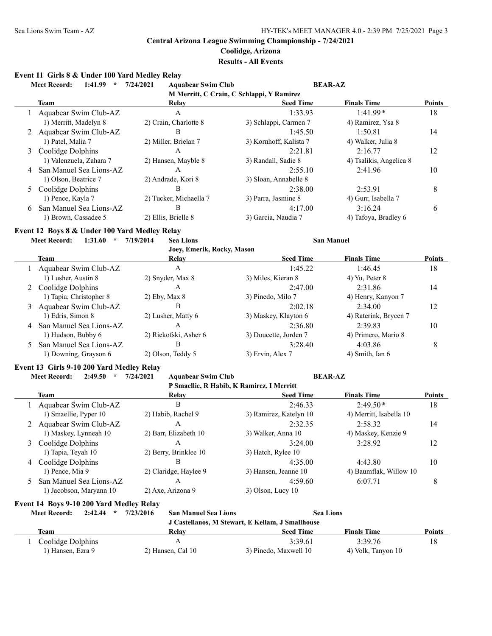# **Coolidge, Arizona**

# **Results - All Events**

### **Event 11 Girls 8 & Under 100 Yard Medley Relay**

|   | 1:41.99<br><b>Meet Record:</b><br>$\star$     | 7/24/2021<br><b>Aquabear Swim Club</b>    |                        | <b>BEAR-AZ</b>          |               |
|---|-----------------------------------------------|-------------------------------------------|------------------------|-------------------------|---------------|
|   |                                               | M Merritt, C Crain, C Schlappi, Y Ramirez |                        |                         |               |
|   | <b>Team</b>                                   | Relay                                     | <b>Seed Time</b>       | <b>Finals Time</b>      | <b>Points</b> |
|   | Aquabear Swim Club-AZ                         | $\mathsf{A}$                              | 1:33.93                | $1:41.99*$              | 18            |
|   | 1) Merritt, Madelyn 8                         | 2) Crain, Charlotte 8                     | 3) Schlappi, Carmen 7  | 4) Ramirez, Ysa 8       |               |
|   | Aquabear Swim Club-AZ                         | B                                         | 1:45.50                | 1:50.81                 | 14            |
|   | 1) Patel, Malia 7                             | 2) Miller, Brielan 7                      | 3) Kornhoff, Kalista 7 | 4) Walker, Julia 8      |               |
| 3 | Coolidge Dolphins                             | $\mathbf{A}$                              | 2:21.81                | 2:16.77                 | 12            |
|   | 1) Valenzuela, Zahara 7                       | 2) Hansen, Mayble 8                       | 3) Randall, Sadie 8    | 4) Tsalikis, Angelica 8 |               |
| 4 | San Manuel Sea Lions-AZ                       | $\mathsf{A}$                              | 2:55.10                | 2:41.96                 | 10            |
|   | 1) Olson, Beatrice 7                          | 2) Andrade, Kori 8                        | 3) Sloan, Annabelle 8  |                         |               |
| 5 | Coolidge Dolphins                             | B                                         | 2:38.00                | 2:53.91                 | 8             |
|   | 1) Pence, Kayla 7                             | 2) Tucker, Michaella 7                    | 3) Parra, Jasmine 8    | 4) Gurr, Isabella 7     |               |
| 6 | San Manuel Sea Lions-AZ                       | $\overline{B}$                            | 4:17.00                | 3:16.24                 | 6             |
|   | 1) Brown, Cassadee 5                          | 2) Ellis, Brielle 8                       | 3) Garcia, Naudia 7    | 4) Tafoya, Bradley 6    |               |
|   | Event 12 Boys 8 & Under 100 Yard Medley Relay |                                           |                        |                         |               |
|   | <b>Meet Record:</b><br>1:31.60<br>$\star$     | 7/19/2014<br><b>Sea Lions</b>             |                        | <b>San Manuel</b>       |               |
|   |                                               | Joey, Emerik, Rocky, Mason                |                        |                         |               |
|   | <b>Team</b>                                   | Relay                                     | <b>Seed Time</b>       | <b>Finals Time</b>      | Points        |
|   | Aquabear Swim Club-AZ                         | $\mathbf{A}$                              | 1:45.22                | 1:46.45                 | 18            |
|   | 1) Lusher, Austin 8                           | 2) Snyder, Max 8                          | 3) Miles, Kieran 8     | 4) Yu, Peter 8          |               |
|   | Coolidge Dolphins                             | A                                         | 2:47.00                | 2:31.86                 | 14            |
|   | 1) Tapia, Christopher 8                       | 2) Eby, Max 8                             | 3) Pinedo, Milo 7      | 4) Henry, Kanyon 7      |               |
| 3 | Aquabear Swim Club-AZ                         | <sub>R</sub>                              | 2:02.18                | 2:34.00                 | 12            |
|   | 1) Edris, Simon 8                             | 2) Lusher, Matty 6                        | 3) Maskey, Klayton 6   | 4) Raterink, Brycen 7   |               |
| 4 | San Manuel Sea Lions-AZ                       | $\mathbf{A}$                              | 2:36.80                | 2:39.83                 | 10            |
|   | 1) Hudson, Bubby 6                            | 2) Riekofski, Asher 6                     | 3) Doucette, Jorden 7  | 4) Primero, Mario 8     |               |
| 5 | San Manuel Sea Lions-AZ                       | B                                         | 3:28.40                | 4:03.86                 | 8             |
|   | 1) Downing, Grayson 6                         | 2) Olson, Teddy 5                         | 3) Ervin, Alex 7       | 4) Smith, Ian 6         |               |

#### **Event 13 Girls 9-10 200 Yard Medley Relay**

**Meet Record: 2:49.50 \* 7/24/2021 Aquabear Swim Club BEAR-AZ**

| P Smaellie, R Habib, K Ramirez, I Merritt |                       |                        |                         |               |  |  |
|-------------------------------------------|-----------------------|------------------------|-------------------------|---------------|--|--|
| Team                                      | Relay                 | <b>Seed Time</b>       | <b>Finals Time</b>      | <b>Points</b> |  |  |
| Aquabear Swim Club-AZ                     | B                     | 2:46.33                | $2:49.50*$              | 18            |  |  |
| 1) Smaellie, Pyper 10                     | 2) Habib, Rachel 9    | 3) Ramirez, Katelyn 10 | 4) Merritt, Isabella 10 |               |  |  |
| 2 Aquabear Swim Club-AZ                   | Α                     | 2:32.35                | 2:58.32                 | 14            |  |  |
| 1) Maskey, Lynneah 10                     | 2) Barr, Elizabeth 10 | 3) Walker, Anna 10     | 4) Maskey, Kenzie 9     |               |  |  |
| 3 Coolidge Dolphins                       | А                     | 3:24.00                | 3:28.92                 | 12            |  |  |
| 1) Tapia, Teyah 10                        | 2) Berry, Brinklee 10 | 3) Hatch, Rylee 10     |                         |               |  |  |
| 4 Coolidge Dolphins                       | B                     | 4:35.00                | 4:43.80                 | 10            |  |  |
| 1) Pence, Mia 9                           | 2) Claridge, Haylee 9 | 3) Hansen, Jeanne 10   | 4) Baumflak, Willow 10  |               |  |  |
| 5 San Manuel Sea Lions-AZ                 | А                     | 4:59.60                | 6:07.71                 | 8             |  |  |
| 1) Jacobson, Maryann 10                   | 2) Axe, Arizona 9     | $3)$ Olson, Lucy 10    |                         |               |  |  |

### **Event 14 Boys 9-10 200 Yard Medley Relay**

**Meet Record: 2:42.44 \* 7/23/2016 San Manuel Sea Lions Sea Lions J Castellanos, M Stewart, E Kellam, J Smallhouse**

|                   |                   | J Castenanos, M Stewart, E Kenami, J Smanhouse |                    |               |
|-------------------|-------------------|------------------------------------------------|--------------------|---------------|
| Team              | Relav             | Seed Time                                      | <b>Finals Time</b> | <b>Points</b> |
| Coolidge Dolphins |                   | 3:39.61                                        | 3:39.76            | 18            |
| Hansen, Ezra 9    | 2) Hansen, Cal 10 | 3) Pinedo, Maxwell 10                          | 4) Volk, Tanyon 10 |               |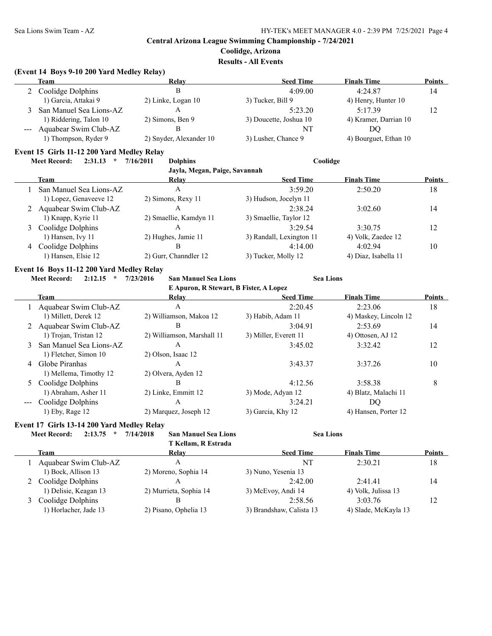**Coolidge, Arizona**

**Results - All Events**

### **(Event 14 Boys 9-10 200 Yard Medley Relay)**

| Team                      | Relay                   | <b>Seed Time</b>       | <b>Finals Time</b>    | Points |
|---------------------------|-------------------------|------------------------|-----------------------|--------|
| 2 Coolidge Dolphins       |                         | 4:09.00                | 4:24.87               | 14     |
| 1) Garcia, Attakai 9      | 2) Linke, Logan 10      | 3) Tucker, Bill 9      | 4) Henry, Hunter 10   |        |
| 3 San Manuel Sea Lions-AZ |                         | 5:23.20                | 5:17.39               |        |
| 1) Riddering, Talon 10    | 2) Simons, Ben 9        | 3) Doucette, Joshua 10 | 4) Kramer, Darrian 10 |        |
| --- Aquabear Swim Club-AZ | в                       | NT                     | DO                    |        |
| 1) Thompson, Ryder 9      | 2) Snyder, Alexander 10 | 3) Lusher, Chance 9    | 4) Bourguet, Ethan 10 |        |

### **Event 15 Girls 11-12 200 Yard Medley Relay**

### **Meet Record: 2:31.13 \* 7/16/2011 Dolphins Coolidge**

| Jayla, Megan, Paige, Savannah |                         |                        |                          |                      |               |  |  |
|-------------------------------|-------------------------|------------------------|--------------------------|----------------------|---------------|--|--|
|                               | Team                    | Relay                  | <b>Seed Time</b>         | <b>Finals Time</b>   | <b>Points</b> |  |  |
|                               | San Manuel Sea Lions-AZ | А                      | 3:59.20                  | 2:50.20              | 18            |  |  |
|                               | 1) Lopez, Genaveeve 12  | 2) Simons, Rexy 11     | 3) Hudson, Jocelyn 11    |                      |               |  |  |
|                               | 2 Aquabear Swim Club-AZ | А                      | 2:38.24                  | 3:02.60              | 14            |  |  |
|                               | 1) Knapp, Kyrie 11      | 2) Smaellie, Kamdyn 11 | 3) Smaellie, Taylor 12   |                      |               |  |  |
|                               | 3 Coolidge Dolphins     | Α                      | 3:29.54                  | 3:30.75              | 12            |  |  |
|                               | 1) Hansen, Ivy 11       | 2) Hughes, Jamie 11    | 3) Randall, Lexington 11 | 4) Volk, Zaedee 12   |               |  |  |
|                               | 4 Coolidge Dolphins     | В                      | 4:14.00                  | 4:02.94              | 10            |  |  |
|                               | 1) Hansen, Elsie 12     | 2) Gurr, Channdler 12  | 3) Tucker, Molly 12      | 4) Diaz, Isabella 11 |               |  |  |

# **Event 16 Boys 11-12 200 Yard Medley Relay**

 $\overline{a}$ 

**Meet Record: 2:12.15 \* 7/23/2016 San Manuel Sea Lions Sea Lions**

**E Apuron, R Stewart, B Fister, A Lopez**

|   | E Apuron, in siewart, D'Eister, A Lopez |                            |                       |                       |               |  |  |
|---|-----------------------------------------|----------------------------|-----------------------|-----------------------|---------------|--|--|
|   | Team                                    | Relay                      | <b>Seed Time</b>      | <b>Finals Time</b>    | <b>Points</b> |  |  |
|   | Aquabear Swim Club-AZ                   | А                          | 2:20.45               | 2:23.06               | 18            |  |  |
|   | 1) Millett, Derek 12                    | 2) Williamson, Makoa 12    | 3) Habib, Adam 11     | 4) Maskey, Lincoln 12 |               |  |  |
|   | 2 Aquabear Swim Club-AZ                 | В                          | 3:04.91               | 2:53.69               | 14            |  |  |
|   | 1) Trojan, Tristan 12                   | 2) Williamson, Marshall 11 | 3) Miller, Everett 11 | 4) Ottosen, AJ 12     |               |  |  |
| 3 | San Manuel Sea Lions-AZ                 | А                          | 3:45.02               | 3:32.42               | 12            |  |  |
|   | 1) Fletcher, Simon 10                   | 2) Olson, Isaac 12         |                       |                       |               |  |  |
| 4 | Globe Piranhas                          | A                          | 3:43.37               | 3:37.26               | 10            |  |  |
|   | 1) Mellema, Timothy 12                  | 2) Olvera, Ayden 12        |                       |                       |               |  |  |
|   | 5 Coolidge Dolphins                     | В                          | 4:12.56               | 3:58.38               | 8             |  |  |
|   | 1) Abraham, Asher 11                    | 2) Linke, Emmitt 12        | 3) Mode, Adyan 12     | 4) Blatz, Malachi 11  |               |  |  |
|   | Coolidge Dolphins                       | A                          | 3:24.21               | DQ                    |               |  |  |
|   | $1)$ Eby, Rage $12$                     | 2) Marquez, Joseph 12      | 3) Garcia, Khy 12     | 4) Hansen, Porter 12  |               |  |  |
|   |                                         |                            |                       |                       |               |  |  |

### **Event 17 Girls 13-14 200 Yard Medley Relay**

| 2:13.75<br><b>Meet Record:</b><br>$\star$ | 7/14/2018<br><b>San Manuel Sea Lions</b><br>T Kellam, R Estrada | <b>Sea Lions</b>         |                      |               |
|-------------------------------------------|-----------------------------------------------------------------|--------------------------|----------------------|---------------|
| Team                                      | Relay                                                           | <b>Seed Time</b>         | <b>Finals Time</b>   | <b>Points</b> |
| Aquabear Swim Club-AZ                     | А                                                               | NT                       | 2:30.21              | 18            |
| 1) Bock, Allison 13                       | 2) Moreno, Sophia 14                                            | 3) Nuno, Yesenia 13      |                      |               |
| 2 Coolidge Dolphins                       | A                                                               | 2:42.00                  | 2:41.41              | 14            |
| 1) Delisie, Keagan 13                     | 2) Murrieta, Sophia 14                                          | 3) McEvoy, Andi 14       | 4) Volk, Julissa 13  |               |
| Coolidge Dolphins                         | в                                                               | 2:58.56                  | 3:03.76              | 12            |
| 1) Horlacher, Jade 13                     | 2) Pisano, Ophelia 13                                           | 3) Brandshaw, Calista 13 | 4) Slade, McKayla 13 |               |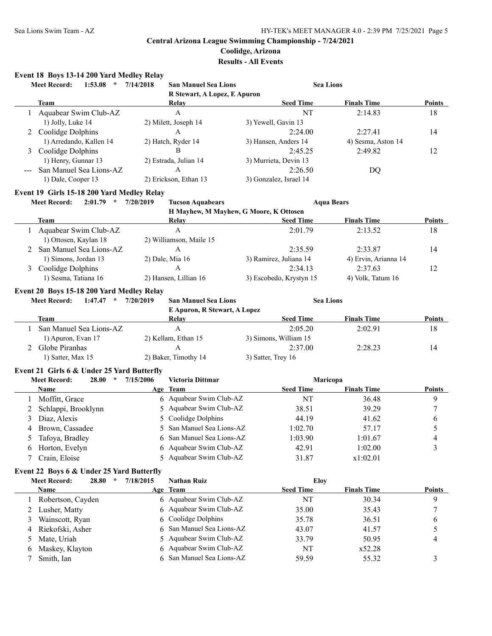# **Coolidge, Arizona**

**Results - All Events**

# **Event 18 Boys 13-14 200 Yard Medley Relay**

|              | <b>Meet Record:</b><br>1:53.08<br>$\star$  | 7/14/2018<br><b>San Manuel Sea Lions</b> | <b>Sea Lions</b>                       |                      |               |
|--------------|--------------------------------------------|------------------------------------------|----------------------------------------|----------------------|---------------|
|              |                                            | R Stewart, A Lopez, E Apuron             |                                        |                      |               |
|              | <b>Team</b>                                | Relay                                    | <b>Seed Time</b>                       | <b>Finals Time</b>   | Points        |
| 1            | Aquabear Swim Club-AZ                      | $\mathbf{A}$                             | NT                                     | 2:14.83              | 18            |
|              | 1) Jolly, Luke 14                          | 2) Milett, Joseph 14                     | 3) Yewell, Gavin 13                    |                      |               |
| 2            | Coolidge Dolphins                          | A                                        | 2:24.00                                | 2:27.41              | 14            |
|              | 1) Arredando, Kallen 14                    | 2) Hatch, Ryder 14                       | 3) Hansen, Anders 14                   | 4) Sesma, Aston 14   |               |
| 3            | Coolidge Dolphins                          | B                                        | 2:45.25                                | 2:49.82              | 12            |
|              | 1) Henry, Gunnar 13                        | 2) Estrada, Julian 14                    | 3) Murrieta, Devin 13                  |                      |               |
|              | San Manuel Sea Lions-AZ                    | A                                        | 2:26.50                                | DQ                   |               |
|              | 1) Dale, Cooper 13                         | 2) Erickson, Ethan 13                    | 3) Gonzalez, Israel 14                 |                      |               |
|              | Event 19 Girls 15-18 200 Yard Medley Relay |                                          |                                        |                      |               |
|              | $2:01.79$ *<br><b>Meet Record:</b>         | 7/20/2019<br><b>Tucson Aquabears</b>     |                                        | <b>Aqua Bears</b>    |               |
|              |                                            |                                          | H Mayhew, M Mayhew, G Moore, K Ottosen |                      |               |
|              | <b>Team</b>                                | <b>Relay</b>                             | <b>Seed Time</b>                       | <b>Finals Time</b>   | <b>Points</b> |
|              | 1 Aquabear Swim Club-AZ                    | $\mathbf{A}$                             | 2:01.79                                | 2:13.52              | 18            |
|              | 1) Ottosen, Kaylan 18                      | 2) Williamson, Maile 15                  |                                        |                      |               |
| 2            | San Manuel Sea Lions-AZ                    | A                                        | 2:35.59                                | 2:33.87              | 14            |
|              | 1) Simons, Jordan 13                       | 2) Dale, Mia 16                          | 3) Ramirez, Juliana 14                 | 4) Ervin, Arianna 14 |               |
| 3            | Coolidge Dolphins                          | A                                        | 2:34.13                                | 2:37.63              | 12            |
|              | 1) Sesma, Tatiana 16                       | 2) Hansen, Lillian 16                    | 3) Escobedo, Krystyn 15                | 4) Volk, Tatum 16    |               |
|              | Event 20 Boys 15-18 200 Yard Medley Relay  |                                          |                                        |                      |               |
|              | <b>Meet Record:</b><br>$1:47.47$ *         | 7/20/2019<br><b>San Manuel Sea Lions</b> | <b>Sea Lions</b>                       |                      |               |
|              |                                            | E Apuron, R Stewart, A Lopez             |                                        |                      |               |
|              | Team                                       | Relay                                    | <b>Seed Time</b>                       | <b>Finals Time</b>   | Points        |
|              | 1 San Manuel Sea Lions-AZ                  | $\overline{A}$                           | 2:05.20                                | 2:02.91              | 18            |
|              | 1) Apuron, Evan 17                         | 2) Kellam, Ethan 15                      | 3) Simons, William 15                  |                      |               |
| 2            | Globe Piranhas                             | A                                        | 2:37.00                                | 2:28.23              | 14            |
|              | 1) Satter, Max 15                          | 2) Baker, Timothy 14                     | 3) Satter, Trey 16                     |                      |               |
|              | Event 21 Girls 6 & Under 25 Yard Butterfly |                                          |                                        |                      |               |
|              | <b>Meet Record:</b><br>28.00<br>$\star$    | 7/15/2006<br><b>Victoria Dittmar</b>     | Maricopa                               |                      |               |
|              | Name                                       | Age Team                                 | <b>Seed Time</b>                       | <b>Finals Time</b>   | <b>Points</b> |
| 1            | Moffitt, Grace                             | 6 Aquabear Swim Club-AZ                  | NT                                     | 36.48                | 9             |
| 2            | Schlappi, Brooklynn                        | 5 Aquabear Swim Club-AZ                  | 38.51                                  | 39.29                | 7             |
| 3            | Diaz, Alexis                               | 5 Coolidge Dolphins                      | 44.19                                  | 41.62                | 6             |
| 4            | Brown, Cassadee                            | 5 San Manuel Sea Lions-AZ                | 1:02.70                                | 57.17                | 5             |
| 5            | Tafoya, Bradley                            | 6 San Manuel Sea Lions-AZ                | 1:03.90                                | 1:01.67              | 4             |
| 6            | Horton, Evelyn                             | 6 Aquabear Swim Club-AZ                  | 42.91                                  | 1:02.00              | 3             |
| 7            | Crain, Eloise                              | 5 Aquabear Swim Club-AZ                  | 31.87                                  | x1:02.01             |               |
|              |                                            |                                          |                                        |                      |               |
|              | Event 22 Boys 6 & Under 25 Yard Butterfly  |                                          |                                        |                      |               |
|              | <b>Meet Record:</b><br>28.80<br>$\star$    | 7/18/2015<br><b>Nathan Ruiz</b>          | <b>Eloy</b>                            |                      |               |
|              | <b>Name</b>                                | Age Team                                 | <b>Seed Time</b>                       | <b>Finals Time</b>   | Points        |
| 1            | Robertson, Cayden                          | 6 Aquabear Swim Club-AZ                  | NT                                     | 30.34                | 9             |
| 2            | Lusher, Matty                              | 6 Aquabear Swim Club-AZ                  | 35.00                                  | 35.43                | 7             |
| 3            | Wainscott, Ryan                            | Coolidge Dolphins<br>6                   | 35.78                                  | 36.51                | 6             |
| 4            | Riekofski, Asher                           | San Manuel Sea Lions-AZ<br>6             | 43.07                                  | 41.57                | 5             |
| 5            | Mate, Uriah                                | Aquabear Swim Club-AZ<br>5               | 33.79                                  | 50.95                | 4             |
| $\mathbf{p}$ | Maskey, Klayton                            | Aquabear Swim Club-AZ<br>6               | NT                                     | x52.28               |               |
| 7            | Smith, Ian                                 | 6 San Manuel Sea Lions-AZ                | 59.59                                  | 55.32                | 3             |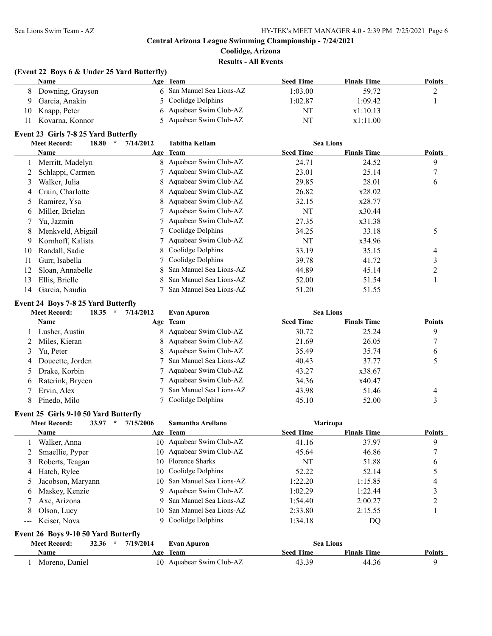**Results - All Events**

# **(Event 22 Boys 6 & Under 25 Yard Butterfly)**

|    | Name               | Age Team                  | <b>Seed Time</b> | <b>Finals Time</b> | <b>Points</b> |
|----|--------------------|---------------------------|------------------|--------------------|---------------|
| 8. | Downing, Grayson   | 6 San Manuel Sea Lions-AZ | 1:03.00          | 59.72              | ∼             |
|    | Garcia, Anakin     | 5 Coolidge Dolphins       | 1:02.87          | 1:09.42            |               |
|    | 10 Knapp, Peter    | 6 Aquabear Swim Club-AZ   | NT               | x1:10.13           |               |
|    | 11 Kovarna, Konnor | 5 Aquabear Swim Club-AZ   | NT               | x1:11.00           |               |

# **Event 23 Girls 7-8 25 Yard Butterfly**

| 18.80<br><b>Meet Record:</b> |                   | 7/14/2012<br>$\star$ | <b>Sea Lions</b><br><b>Tabitha Kellam</b> |                  |                    |               |
|------------------------------|-------------------|----------------------|-------------------------------------------|------------------|--------------------|---------------|
|                              | Name              |                      | Age Team                                  | <b>Seed Time</b> | <b>Finals Time</b> | <b>Points</b> |
|                              | Merritt, Madelyn  |                      | 8 Aquabear Swim Club-AZ                   | 24.71            | 24.52              | 9             |
|                              | Schlappi, Carmen  |                      | 7 Aquabear Swim Club-AZ                   | 23.01            | 25.14              |               |
| 3                            | Walker, Julia     |                      | 8 Aquabear Swim Club-AZ                   | 29.85            | 28.01              | 6             |
| 4                            | Crain, Charlotte  |                      | 8 Aquabear Swim Club-AZ                   | 26.82            | x28.02             |               |
| 5                            | Ramirez, Ysa      |                      | 8 Aquabear Swim Club-AZ                   | 32.15            | x28.77             |               |
| 6                            | Miller, Brielan   |                      | 7 Aquabear Swim Club-AZ                   | NT               | x30.44             |               |
|                              | Yu, Jazmin        |                      | 7 Aquabear Swim Club-AZ                   | 27.35            | x31.38             |               |
| 8                            | Menkveld, Abigail |                      | 7 Coolidge Dolphins                       | 34.25            | 33.18              | 5             |
| 9                            | Kornhoff, Kalista |                      | 7 Aquabear Swim Club-AZ                   | NT               | x34.96             |               |
| 10                           | Randall, Sadie    |                      | 8 Coolidge Dolphins                       | 33.19            | 35.15              | 4             |
| 11                           | Gurr, Isabella    |                      | Coolidge Dolphins                         | 39.78            | 41.72              | 3             |
| 12                           | Sloan, Annabelle  |                      | 8 San Manuel Sea Lions-AZ                 | 44.89            | 45.14              | 2             |
| 13                           | Ellis, Brielle    | 8.                   | San Manuel Sea Lions-AZ                   | 52.00            | 51.54              |               |
| 14                           | Garcia, Naudia    |                      | San Manuel Sea Lions-AZ                   | 51.20            | 51.55              |               |

### **Event 24 Boys 7-8 25 Yard Butterfly**

|          | <b>Meet Record:</b><br>18.35 | 7/14/2012<br>$\star$ | <b>Evan Apuron</b>        | <b>Sea Lions</b> |                    |               |
|----------|------------------------------|----------------------|---------------------------|------------------|--------------------|---------------|
|          | Name                         |                      | Age Team                  | <b>Seed Time</b> | <b>Finals Time</b> | <b>Points</b> |
|          | Lusher, Austin               |                      | 8 Aquabear Swim Club-AZ   | 30.72            | 25.24              | 9             |
|          | 2 Miles, Kieran              |                      | 8 Aquabear Swim Club-AZ   | 21.69            | 26.05              |               |
|          | Yu, Peter                    |                      | 8 Aquabear Swim Club-AZ   | 35.49            | 35.74              | 6             |
| 4        | Doucette, Jorden             |                      | 7 San Manuel Sea Lions-AZ | 40.43            | 37.77              |               |
|          | 5 Drake, Korbin              |                      | 7 Aquabear Swim Club-AZ   | 43.27            | x38.67             |               |
| $\sigma$ | Raterink, Brycen             |                      | 7 Aquabear Swim Club-AZ   | 34.36            | x40.47             |               |
|          | Ervin, Alex                  |                      | San Manuel Sea Lions-AZ   | 43.98            | 51.46              | 4             |
| 8        | Pinedo, Milo                 |                      | Coolidge Dolphins         | 45.10            | 52.00              |               |

### **Event 25 Girls 9-10 50 Yard Butterfly**

|                     | <b>Meet Record:</b><br>33.97 | $\star$ | 7/15/2006 | Samantha Arellano          | <b>Maricopa</b>  |                    |               |
|---------------------|------------------------------|---------|-----------|----------------------------|------------------|--------------------|---------------|
|                     | <b>Name</b>                  |         |           | Age Team                   | <b>Seed Time</b> | <b>Finals Time</b> | <b>Points</b> |
|                     | Walker, Anna                 |         |           | 10 Aquabear Swim Club-AZ   | 41.16            | 37.97              | 9             |
|                     | 2 Smaellie, Pyper            |         |           | 10 Aquabear Swim Club-AZ   | 45.64            | 46.86              |               |
| 3                   | Roberts, Teagan              |         |           | 10 Florence Sharks         | NT               | 51.88              | O             |
| 4                   | Hatch, Rylee                 |         |           | 10 Coolidge Dolphins       | 52.22            | 52.14              |               |
|                     | Jacobson, Maryann            |         |           | 10 San Manuel Sea Lions-AZ | 1:22.20          | 1:15.85            | 4             |
| 6                   | Maskey, Kenzie               |         | 9.        | Aquabear Swim Club-AZ      | 1:02.29          | 1:22.44            |               |
|                     | Axe, Arizona                 |         | 9.        | San Manuel Sea Lions-AZ    | 1:54.40          | 2:00.27            |               |
| 8                   | Olson, Lucy                  |         | 10.       | San Manuel Sea Lions-AZ    | 2:33.80          | 2:15.55            |               |
| $\qquad \qquad - -$ | Keiser, Nova                 |         |           | Coolidge Dolphins          | 1:34.18          | DQ                 |               |
|                     |                              |         |           |                            |                  |                    |               |

# **Event 26 Boys 9-10 50 Yard Butterfly**

| <b>Meet Record:</b> | $32.36$ * | 7/19/2014 | <b>Evan Apuron</b>       | <b>Sea Lions</b> |                    |               |
|---------------------|-----------|-----------|--------------------------|------------------|--------------------|---------------|
| Name                |           | A σe      | Team                     | Seed Time        | <b>Finals Time</b> | <b>Points</b> |
| Moreno, Daniel      |           |           | 10 Aquabear Swim Club-AZ | 43.39            | 44.36              |               |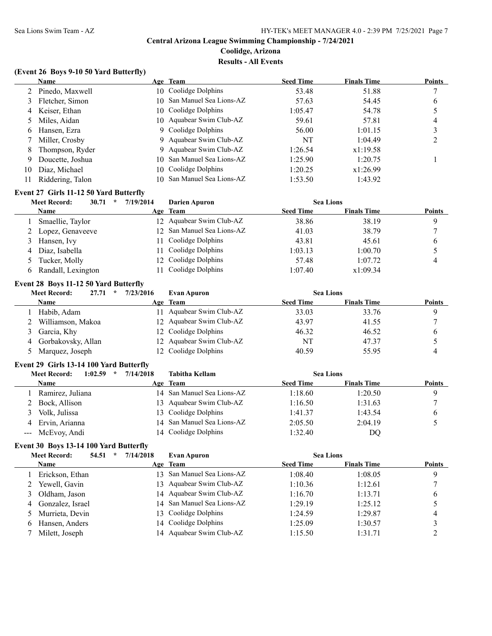**Results - All Events**

# **(Event 26 Boys 9-10 50 Yard Butterfly)**

|    | Name              | Age Team                   | <b>Seed Time</b> | <b>Finals Time</b> | <b>Points</b> |
|----|-------------------|----------------------------|------------------|--------------------|---------------|
|    | 2 Pinedo, Maxwell | 10 Coolidge Dolphins       | 53.48            | 51.88              |               |
|    | 3 Fletcher, Simon | 10 San Manuel Sea Lions-AZ | 57.63            | 54.45              | $\mathfrak b$ |
|    | 4 Keiser, Ethan   | 10 Coolidge Dolphins       | 1:05.47          | 54.78              |               |
|    | 5 Miles, Aidan    | 10 Aquabear Swim Club-AZ   | 59.61            | 57.81              | 4             |
| 6  | Hansen, Ezra      | 9 Coolidge Dolphins        | 56.00            | 1:01.15            |               |
|    | 7 Miller, Crosby  | 9 Aquabear Swim Club-AZ    | NT               | 1:04.49            |               |
| 8  | Thompson, Ryder   | 9 Aquabear Swim Club-AZ    | 1:26.54          | x1:19.58           |               |
| 9  | Doucette, Joshua  | 10 San Manuel Sea Lions-AZ | 1:25.90          | 1:20.75            |               |
| 10 | Diaz, Michael     | 10 Coolidge Dolphins       | 1:20.25          | x1:26.99           |               |
|    | Riddering, Talon  | 10 San Manuel Sea Lions-AZ | 1:53.50          | 1:43.92            |               |

### **Event 27 Girls 11-12 50 Yard Butterfly**

| <b>Meet Record:</b><br>30.71<br>$\star$ | 7/19/2014 | Darien Apuron              | <b>Sea Lions</b> |                    |               |
|-----------------------------------------|-----------|----------------------------|------------------|--------------------|---------------|
| <b>Name</b>                             |           | Age Team                   | <b>Seed Time</b> | <b>Finals Time</b> | <b>Points</b> |
| Smaellie, Taylor                        |           | 12 Aquabear Swim Club-AZ   | 38.86            | 38.19              | Q             |
| 2 Lopez, Genaveeve                      |           | 12 San Manuel Sea Lions-AZ | 41.03            | 38.79              |               |
| 3 Hansen, Ivy                           | 11.       | Coolidge Dolphins          | 43.81            | 45.61              | b             |
| 4 Diaz, Isabella                        |           | 11 Coolidge Dolphins       | 1:03.13          | 1:00.70            |               |
| Tucker, Molly                           |           | 12 Coolidge Dolphins       | 57.48            | 1:07.72            | 4             |
| 6 Randall, Lexington                    |           | Coolidge Dolphins          | 1:07.40          | x1:09.34           |               |

# **Event 28 Boys 11-12 50 Yard Butterfly**

| <b>Meet Record:</b><br>27.71<br>$\star$ | 7/23/2016 | <b>Evan Apuron</b>       | <b>Sea Lions</b> |                    |               |
|-----------------------------------------|-----------|--------------------------|------------------|--------------------|---------------|
| <b>Name</b>                             |           | Age Team                 | <b>Seed Time</b> | <b>Finals Time</b> | <b>Points</b> |
| Habib, Adam                             | 11        | Aquabear Swim Club-AZ    | 33.03            | 33.76              |               |
| 2 Williamson, Makoa                     |           | 12 Aquabear Swim Club-AZ | 43.97            | 41.55              |               |
| 3 Garcia, Khy                           |           | 12 Coolidge Dolphins     | 46.32            | 46.52              |               |
| 4 Gorbakovsky, Allan                    |           | 12 Aquabear Swim Club-AZ | NT               | 47.37              |               |
| 5 Marquez, Joseph                       |           | 12 Coolidge Dolphins     | 40.59            | 55.95              |               |

### **Event 29 Girls 13-14 100 Yard Butterfly**

|   | 1:02.59<br>Meet Record:<br>$\star$ | 7/14/2018 | <b>Tabitha Kellam</b>      | <b>Sea Lions</b> |                    |               |
|---|------------------------------------|-----------|----------------------------|------------------|--------------------|---------------|
|   | <b>Name</b>                        |           | Age Team                   | <b>Seed Time</b> | <b>Finals Time</b> | <b>Points</b> |
|   | Ramirez, Juliana                   |           | 14 San Manuel Sea Lions-AZ | 1:18.60          | 1:20.50            |               |
|   | 2 Bock, Allison                    |           | 13 Aquabear Swim Club-AZ   | 1:16.50          | 1:31.63            |               |
|   | Volk, Julissa                      |           | 13 Coolidge Dolphins       | 1:41.37          | 1:43.54            |               |
| 4 | Ervin, Arianna                     |           | 14 San Manuel Sea Lions-AZ | 2:05.50          | 2:04.19            |               |
|   | --- McEvoy, Andi                   |           | 14 Coolidge Dolphins       | 1:32.40          | DO                 |               |

# **Event 30 Boys 13-14 100 Yard Butterfly**

| 54.51<br><b>Meet Record:</b><br>$\star$ | 7/14/2018 | <b>Evan Apuron</b>         | <b>Sea Lions</b> |                    |               |
|-----------------------------------------|-----------|----------------------------|------------------|--------------------|---------------|
| <b>Name</b>                             |           | Age Team                   | <b>Seed Time</b> | <b>Finals Time</b> | <b>Points</b> |
| Erickson, Ethan                         | 13.       | San Manuel Sea Lions-AZ    | 1:08.40          | 1:08.05            | 9             |
| 2 Yewell, Gavin                         |           | 13 Aquabear Swim Club-AZ   | 1:10.36          | 1:12.61            |               |
| 3 Oldham, Jason                         |           | 14 Aquabear Swim Club-AZ   | 1:16.70          | 1:13.71            | 6             |
| 4 Gonzalez, Israel                      |           | 14 San Manuel Sea Lions-AZ | 1:29.19          | 1:25.12            |               |
| 5 Murrieta, Devin                       |           | 13 Coolidge Dolphins       | 1:24.59          | 1:29.87            | 4             |
| 6 Hansen, Anders                        |           | 14 Coolidge Dolphins       | 1:25.09          | 1:30.57            |               |
| Milett, Joseph                          |           | 14 Aquabear Swim Club-AZ   | 1:15.50          | 1:31.71            |               |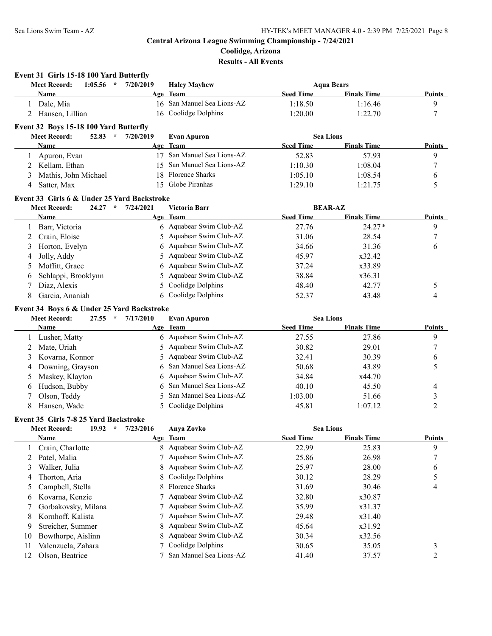**Event 31 Girls 15-18 100 Yard Butterfly**

# **Central Arizona League Swimming Championship - 7/24/2021**

**Coolidge, Arizona**

# **Results - All Events**

| <b>Meet Record:</b><br>$\star$<br>1:05.56                                        | 7/20/2019 | <b>Haley Mayhew</b>        |                  | <b>Aqua Bears</b>  |                          |
|----------------------------------------------------------------------------------|-----------|----------------------------|------------------|--------------------|--------------------------|
| Name                                                                             |           | Age Team                   | <b>Seed Time</b> | <b>Finals Time</b> | Points                   |
| 1 Dale, Mia                                                                      |           | 16 San Manuel Sea Lions-AZ | 1:18.50          | 1:16.46            | 9                        |
| 2 Hansen, Lillian                                                                |           | 16 Coolidge Dolphins       | 1:20.00          | 1:22.70            | 7                        |
| Event 32 Boys 15-18 100 Yard Butterfly                                           |           |                            |                  |                    |                          |
| 52.83 $*$<br><b>Meet Record:</b>                                                 | 7/20/2019 | <b>Evan Apuron</b>         | <b>Sea Lions</b> |                    |                          |
| Name                                                                             |           | Age Team                   | <b>Seed Time</b> | <b>Finals Time</b> | <b>Points</b>            |
| Apuron, Evan<br>1                                                                |           | 17 San Manuel Sea Lions-AZ | 52.83            | 57.93              | 9                        |
| Kellam, Ethan<br>2                                                               | 15        | San Manuel Sea Lions-AZ    | 1:10.30          | 1:08.04            | 7                        |
| Mathis, John Michael<br>3                                                        | 18        | Florence Sharks            | 1:05.10          | 1:08.54            | 6                        |
| Satter, Max<br>4                                                                 |           | 15 Globe Piranhas          | 1:29.10          | 1:21.75            | 5                        |
| Event 33 Girls 6 & Under 25 Yard Backstroke                                      |           |                            |                  |                    |                          |
| <b>Meet Record:</b><br>24.27<br>$\star$                                          | 7/24/2021 | Victoria Barr              |                  | <b>BEAR-AZ</b>     |                          |
| Name                                                                             |           | Age Team                   | <b>Seed Time</b> | <b>Finals Time</b> | Points                   |
| Barr, Victoria<br>1                                                              |           | 6 Aquabear Swim Club-AZ    | 27.76            | $24.27*$           | 9                        |
| Crain, Eloise<br>2                                                               | 5.        | Aquabear Swim Club-AZ      | 31.06            | 28.54              | 7                        |
| Horton, Evelyn<br>3                                                              | 6         | Aquabear Swim Club-AZ      | 34.66            | 31.36              | 6                        |
| Jolly, Addy<br>4                                                                 | 5         | Aquabear Swim Club-AZ      | 45.97            | x32.42             |                          |
| Moffitt, Grace<br>5                                                              | 6         | Aquabear Swim Club-AZ      | 37.24            | x33.89             |                          |
| Schlappi, Brooklynn<br>6                                                         | 5         | Aquabear Swim Club-AZ      | 38.84            | x36.31             |                          |
| Diaz, Alexis<br>7                                                                | 5         | Coolidge Dolphins          | 48.40            | 42.77              | 5                        |
| Garcia, Ananiah<br>8                                                             |           | 6 Coolidge Dolphins        | 52.37            | 43.48              | 4                        |
| Event 34 Boys 6 & Under 25 Yard Backstroke                                       |           |                            |                  |                    |                          |
| $27.55$ *<br><b>Meet Record:</b>                                                 | 7/17/2010 | <b>Evan Apuron</b>         | <b>Sea Lions</b> |                    |                          |
| Name                                                                             |           | Age Team                   | <b>Seed Time</b> | <b>Finals Time</b> | <b>Points</b>            |
| 1 Lusher, Matty                                                                  |           | 6 Aquabear Swim Club-AZ    | 27.55            | 27.86              | 9                        |
| Mate, Uriah<br>2                                                                 | 5.        | Aquabear Swim Club-AZ      | 30.82            | 29.01              | 7                        |
| Kovarna, Konnor<br>3                                                             | 5         | Aquabear Swim Club-AZ      | 32.41            | 30.39              | 6                        |
| Downing, Grayson<br>4                                                            | 6         | San Manuel Sea Lions-AZ    | 50.68            | 43.89              | 5                        |
| Maskey, Klayton<br>5                                                             | 6         | Aquabear Swim Club-AZ      | 34.84            | x44.70             |                          |
| Hudson, Bubby<br>6                                                               | 6         | San Manuel Sea Lions-AZ    | 40.10            | 45.50              | 4                        |
| Olson, Teddy<br>7                                                                | 5         | San Manuel Sea Lions-AZ    | 1:03.00          | 51.66              | 3                        |
| Hansen, Wade<br>8                                                                | 5.        | Coolidge Dolphins          | 45.81            | 1:07.12            | $\overline{2}$           |
|                                                                                  |           |                            |                  |                    |                          |
| Event 35 Girls 7-8 25 Yard Backstroke<br><b>Meet Record:</b><br>19.92<br>$\star$ | 7/23/2016 |                            | <b>Sea Lions</b> |                    |                          |
| <u>Name</u>                                                                      |           | Anya Zovko<br>Age Team     | <b>Seed Time</b> | <b>Finals Time</b> | <b>Points</b>            |
| Crain, Charlotte<br>1                                                            |           | 8 Aquabear Swim Club-AZ    | 22.99            | 25.83              | 9                        |
| Patel, Malia<br>2                                                                |           | Aquabear Swim Club-AZ      | 25.86            | 26.98              | 7                        |
| Walker, Julia<br>3                                                               | 8         | Aquabear Swim Club-AZ      | 25.97            | 28.00              | 6                        |
| Thorton, Aria<br>4                                                               |           | Coolidge Dolphins          | 30.12            | 28.29              | 5                        |
| Campbell, Stella<br>5                                                            | 8         | Florence Sharks            | 31.69            | 30.46              | $\overline{\mathcal{A}}$ |
| Kovarna, Kenzie<br>6                                                             |           | Aquabear Swim Club-AZ      | 32.80            | x30.87             |                          |
| Gorbakovsky, Milana<br>7                                                         |           | Aquabear Swim Club-AZ      | 35.99            | x31.37             |                          |
| Kornhoff, Kalista<br>8                                                           | 7         | Aquabear Swim Club-AZ      | 29.48            | x31.40             |                          |
| Streicher, Summer<br>9                                                           | 8         | Aquabear Swim Club-AZ      | 45.64            | x31.92             |                          |
| Bowthorpe, Aislinn<br>10                                                         | 8         | Aquabear Swim Club-AZ      | 30.34            | x32.56             |                          |
| Valenzuela, Zahara<br>11                                                         | 7         | Coolidge Dolphins          | 30.65            | 35.05              | 3                        |
| Olson, Beatrice<br>12                                                            |           | San Manuel Sea Lions-AZ    | 41.40            | 37.57              | $\sqrt{2}$               |
|                                                                                  |           |                            |                  |                    |                          |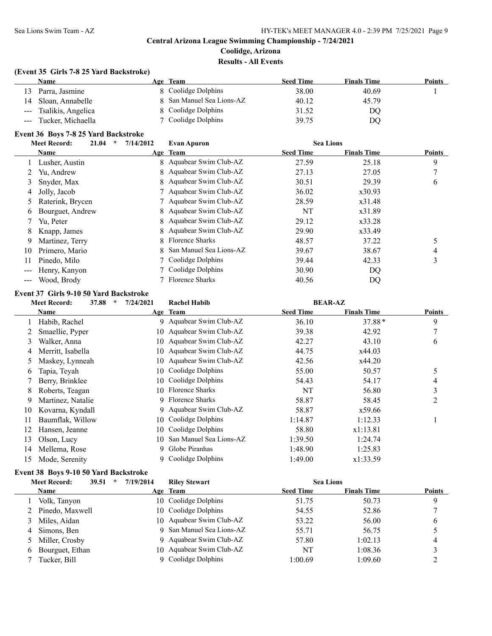**Results - All Events**

# **(Event 35 Girls 7-8 25 Yard Backstroke)**

|       | Name                   | Age Team                  | <b>Seed Time</b> | <b>Finals Time</b> | Points |
|-------|------------------------|---------------------------|------------------|--------------------|--------|
|       | 13 Parra, Jasmine      | 8 Coolidge Dolphins       | 38.00            | 40.69              |        |
|       | 14 Sloan, Annabelle    | 8 San Manuel Sea Lions-AZ | 40.12            | 45.79              |        |
|       | --- Tsalikis, Angelica | 8 Coolidge Dolphins       | 31.52            | DO                 |        |
| $---$ | Tucker, Michaella      | 7 Coolidge Dolphins       | 39.75            | DQ                 |        |

# **Event 36 Boys 7-8 25 Yard Backstroke**

|    | 21.04<br><b>Meet Record:</b> | $\star$ | 7/14/2012 | <b>Evan Apuron</b>        | <b>Sea Lions</b> |                    |               |
|----|------------------------------|---------|-----------|---------------------------|------------------|--------------------|---------------|
|    | Name                         |         |           | Age Team                  | <b>Seed Time</b> | <b>Finals Time</b> | <b>Points</b> |
|    | Lusher, Austin               |         |           | 8 Aquabear Swim Club-AZ   | 27.59            | 25.18              | 9             |
|    | Yu, Andrew                   |         |           | 8 Aquabear Swim Club-AZ   | 27.13            | 27.05              |               |
| 3  | Snyder, Max                  |         |           | 8 Aquabear Swim Club-AZ   | 30.51            | 29.39              | 6             |
| 4  | Jolly, Jacob                 |         |           | 7 Aquabear Swim Club-AZ   | 36.02            | x30.93             |               |
|    | Raterink, Brycen             |         |           | 7 Aquabear Swim Club-AZ   | 28.59            | x31.48             |               |
| 6  | Bourguet, Andrew             |         |           | 8 Aquabear Swim Club-AZ   | NT               | x31.89             |               |
|    | Yu, Peter                    |         |           | 8 Aquabear Swim Club-AZ   | 29.12            | x33.28             |               |
| 8  | Knapp, James                 |         |           | 8 Aquabear Swim Club-AZ   | 29.90            | x33.49             |               |
| 9  | Martinez, Terry              |         | 8         | Florence Sharks           | 48.57            | 37.22              |               |
| 10 | Primero, Mario               |         |           | 8 San Manuel Sea Lions-AZ | 39.67            | 38.67              | 4             |
| 11 | Pinedo, Milo                 |         |           | 7 Coolidge Dolphins       | 39.44            | 42.33              | 3             |
|    | Henry, Kanyon                |         |           | 7 Coolidge Dolphins       | 30.90            | DQ                 |               |
|    | Wood, Brody                  |         |           | Florence Sharks           | 40.56            | DQ                 |               |

### **Event 37 Girls 9-10 50 Yard Backstroke**

| 37.88<br>$\star$<br><b>Meet Record:</b> |                   | 7/24/2021 | <b>Rachel Habib</b>      | <b>BEAR-AZ</b>   |                    |        |
|-----------------------------------------|-------------------|-----------|--------------------------|------------------|--------------------|--------|
|                                         | Name              |           | Age Team                 | <b>Seed Time</b> | <b>Finals Time</b> | Points |
|                                         | Habib, Rachel     | 9.        | Aquabear Swim Club-AZ    | 36.10            | $37.88*$           | 9      |
|                                         | Smaellie, Pyper   |           | 10 Aquabear Swim Club-AZ | 39.38            | 42.92              |        |
| 3                                       | Walker, Anna      | 10.       | Aquabear Swim Club-AZ    | 42.27            | 43.10              | 6      |
| 4                                       | Merritt, Isabella |           | 10 Aquabear Swim Club-AZ | 44.75            | x44.03             |        |
| 5                                       | Maskey, Lynneah   | 10.       | Aquabear Swim Club-AZ    | 42.56            | x44.20             |        |
| 6                                       | Tapia, Teyah      | 10.       | Coolidge Dolphins        | 55.00            | 50.57              |        |
|                                         | Berry, Brinklee   |           | 10 Coolidge Dolphins     | 54.43            | 54.17              | 4      |
| 8                                       | Roberts, Teagan   |           | 10 Florence Sharks       | NT               | 56.80              | 3      |
| 9                                       | Martinez, Natalie | 9         | <b>Florence Sharks</b>   | 58.87            | 58.45              | 2      |
| 10                                      | Kovarna, Kyndall  |           | 9 Aquabear Swim Club-AZ  | 58.87            | x59.66             |        |
| 11                                      | Baumflak, Willow  |           | 10 Coolidge Dolphins     | 1:14.87          | 1:12.33            |        |
| 12                                      | Hansen, Jeanne    | 10.       | Coolidge Dolphins        | 58.80            | x1:13.81           |        |
| 13                                      | Olson, Lucy       | 10        | San Manuel Sea Lions-AZ  | 1:39.50          | 1:24.74            |        |
| 14                                      | Mellema, Rose     | 9         | Globe Piranhas           | 1:48.90          | 1:25.83            |        |
| 15                                      | Mode, Serenity    | 9.        | Coolidge Dolphins        | 1:49.00          | x1:33.59           |        |

# **Event 38 Boys 9-10 50 Yard Backstroke**

|   | <b>Meet Record:</b> | 39.51 | $\ast$ | 7/19/2014 | <b>Riley Stewart</b>      | <b>Sea Lions</b> |                    |               |
|---|---------------------|-------|--------|-----------|---------------------------|------------------|--------------------|---------------|
|   | <b>Name</b>         |       |        |           | Age Team                  | <b>Seed Time</b> | <b>Finals Time</b> | <b>Points</b> |
|   | Volk, Tanyon        |       |        |           | 10 Coolidge Dolphins      | 51.75            | 50.73              | 9             |
|   | 2 Pinedo, Maxwell   |       |        |           | 10 Coolidge Dolphins      | 54.55            | 52.86              |               |
|   | Miles, Aidan        |       |        |           | 10 Aquabear Swim Club-AZ  | 53.22            | 56.00              | 6             |
| 4 | Simons, Ben         |       |        |           | 9 San Manuel Sea Lions-AZ | 55.71            | 56.75              |               |
|   | 5 Miller, Crosby    |       |        |           | 9 Aquabear Swim Club-AZ   | 57.80            | 1:02.13            | 4             |
| 6 | Bourguet, Ethan     |       |        |           | 10 Aquabear Swim Club-AZ  | NT               | 1:08.36            |               |
|   | Tucker, Bill        |       |        |           | 9 Coolidge Dolphins       | 1:00.69          | 1:09.60            |               |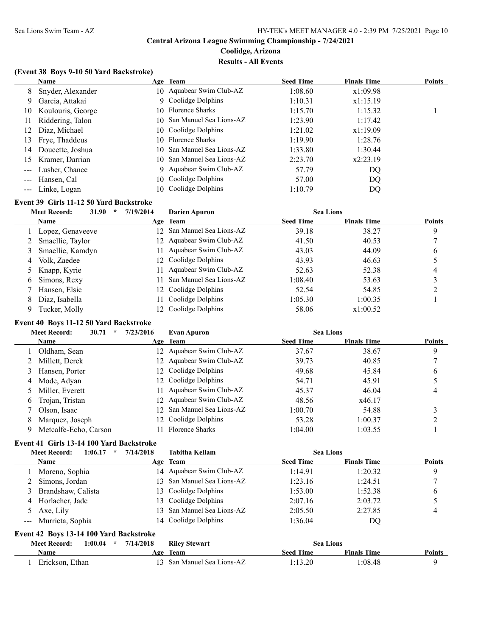**Results - All Events**

### **(Event 38 Boys 9-10 50 Yard Backstroke)**

|                                                                                                                                                                                                                                                                                                                                                                                                                                                                            | <b>Name</b>       |     | Age Team                   | <b>Seed Time</b> | <b>Finals Time</b> | <b>Points</b> |
|----------------------------------------------------------------------------------------------------------------------------------------------------------------------------------------------------------------------------------------------------------------------------------------------------------------------------------------------------------------------------------------------------------------------------------------------------------------------------|-------------------|-----|----------------------------|------------------|--------------------|---------------|
| 8                                                                                                                                                                                                                                                                                                                                                                                                                                                                          | Snyder, Alexander |     | 10 Aquabear Swim Club-AZ   | 1:08.60          | x1:09.98           |               |
| 9                                                                                                                                                                                                                                                                                                                                                                                                                                                                          | Garcia, Attakai   |     | 9 Coolidge Dolphins        | 1:10.31          | x1:15.19           |               |
| 10                                                                                                                                                                                                                                                                                                                                                                                                                                                                         | Koulouris, George |     | 10 Florence Sharks         | 1:15.70          | 1:15.32            |               |
| 11                                                                                                                                                                                                                                                                                                                                                                                                                                                                         | Riddering, Talon  |     | 10 San Manuel Sea Lions-AZ | 1:23.90          | 1:17.42            |               |
| 12                                                                                                                                                                                                                                                                                                                                                                                                                                                                         | Diaz, Michael     |     | 10 Coolidge Dolphins       | 1:21.02          | x1:19.09           |               |
| 13                                                                                                                                                                                                                                                                                                                                                                                                                                                                         | Frye, Thaddeus    |     | 10 Florence Sharks         | 1:19.90          | 1:28.76            |               |
| 14                                                                                                                                                                                                                                                                                                                                                                                                                                                                         | Doucette, Joshua  |     | 10 San Manuel Sea Lions-AZ | 1:33.80          | 1:30.44            |               |
| 15                                                                                                                                                                                                                                                                                                                                                                                                                                                                         | Kramer, Darrian   |     | 10 San Manuel Sea Lions-AZ | 2:23.70          | x2:23.19           |               |
| $\frac{1}{2} \left( \frac{1}{2} \right) \left( \frac{1}{2} \right) \left( \frac{1}{2} \right) \left( \frac{1}{2} \right) \left( \frac{1}{2} \right) \left( \frac{1}{2} \right) \left( \frac{1}{2} \right) \left( \frac{1}{2} \right) \left( \frac{1}{2} \right) \left( \frac{1}{2} \right) \left( \frac{1}{2} \right) \left( \frac{1}{2} \right) \left( \frac{1}{2} \right) \left( \frac{1}{2} \right) \left( \frac{1}{2} \right) \left( \frac{1}{2} \right) \left( \frac$ | Lusher, Chance    |     | 9 Aquabear Swim Club-AZ    | 57.79            | DQ                 |               |
| $---$                                                                                                                                                                                                                                                                                                                                                                                                                                                                      | Hansen, Cal       |     | 10 Coolidge Dolphins       | 57.00            | DQ                 |               |
|                                                                                                                                                                                                                                                                                                                                                                                                                                                                            | Linke, Logan      | 10. | Coolidge Dolphins          | 1:10.79          | DQ.                |               |

# **Event 39 Girls 11-12 50 Yard Backstroke**

|   | <b>Meet Record:</b><br>31.90<br>$\star$ | 7/19/2014 | <b>Darien Apuron</b>       | <b>Sea Lions</b> |                    |               |
|---|-----------------------------------------|-----------|----------------------------|------------------|--------------------|---------------|
|   | <b>Name</b>                             |           | Age Team                   | <b>Seed Time</b> | <b>Finals Time</b> | <b>Points</b> |
|   | 1 Lopez, Genaveeve                      |           | 12 San Manuel Sea Lions-AZ | 39.18            | 38.27              | 9             |
|   | 2 Smaellie, Taylor                      |           | 12 Aquabear Swim Club-AZ   | 41.50            | 40.53              |               |
|   | Smaellie, Kamdyn                        | 11.       | Aquabear Swim Club-AZ      | 43.03            | 44.09              | 6             |
| 4 | Volk, Zaedee                            |           | 12 Coolidge Dolphins       | 43.93            | 46.63              |               |
|   | 5 Knapp, Kyrie                          | 11        | Aquabear Swim Club-AZ      | 52.63            | 52.38              |               |
| 6 | Simons, Rexy                            | 11        | San Manuel Sea Lions-AZ    | 1:08.40          | 53.63              |               |
|   | Hansen, Elsie                           |           | 12 Coolidge Dolphins       | 52.54            | 54.85              |               |
|   | Diaz, Isabella                          |           | Coolidge Dolphins          | 1:05.30          | 1:00.35            |               |
|   | Tucker, Molly                           |           | 12 Coolidge Dolphins       | 58.06            | x1:00.52           |               |

# **Event 40 Boys 11-12 50 Yard Backstroke**

|   | <b>Meet Record:</b>   | 30.71<br>$\star$ | 7/23/2016 | <b>Evan Apuron</b>         | <b>Sea Lions</b> |                    |               |
|---|-----------------------|------------------|-----------|----------------------------|------------------|--------------------|---------------|
|   | <b>Name</b>           |                  |           | Age Team                   | <b>Seed Time</b> | <b>Finals Time</b> | <b>Points</b> |
|   | Oldham, Sean          |                  |           | 12 Aquabear Swim Club-AZ   | 37.67            | 38.67              | 9             |
|   | Millett, Derek        |                  |           | 12 Aquabear Swim Club-AZ   | 39.73            | 40.85              |               |
|   | Hansen, Porter        |                  |           | 12 Coolidge Dolphins       | 49.68            | 45.84              | 6             |
| 4 | Mode, Adyan           |                  |           | 12 Coolidge Dolphins       | 54.71            | 45.91              |               |
|   | 5 Miller, Everett     |                  |           | 11 Aquabear Swim Club-AZ   | 45.37            | 46.04              | 4             |
| 6 | Trojan, Tristan       |                  |           | 12 Aquabear Swim Club-AZ   | 48.56            | x46.17             |               |
|   | Olson, Isaac          |                  |           | 12 San Manuel Sea Lions-AZ | 1:00.70          | 54.88              |               |
| 8 | Marquez, Joseph       |                  |           | 12 Coolidge Dolphins       | 53.28            | 1:00.37            |               |
|   | Metcalfe-Echo, Carson |                  |           | 11 Florence Sharks         | 1:04.00          | 1:03.55            |               |

# **Event 41 Girls 13-14 100 Yard Backstroke**

|   | 1:06.17<br><b>Meet Record:</b><br>$\star$ | 7/14/2018 | <b>Tabitha Kellam</b>      | <b>Sea Lions</b> |                    |               |
|---|-------------------------------------------|-----------|----------------------------|------------------|--------------------|---------------|
|   | <b>Name</b>                               |           | Age Team                   | <b>Seed Time</b> | <b>Finals Time</b> | <b>Points</b> |
|   | Moreno, Sophia                            |           | 14 Aquabear Swim Club-AZ   | 1:14.91          | 1:20.32            |               |
|   | Simons, Jordan                            |           | 13 San Manuel Sea Lions-AZ | 1:23.16          | 1:24.51            |               |
| 3 | Brandshaw, Calista                        |           | 13 Coolidge Dolphins       | 1:53.00          | 1:52.38            | b             |
| 4 | Horlacher, Jade                           |           | 13 Coolidge Dolphins       | 2:07.16          | 2:03.72            |               |
|   | 5 Axe, Lily                               |           | 13 San Manuel Sea Lions-AZ | 2:05.50          | 2:27.85            |               |
|   | --- Murrieta, Sophia                      |           | 14 Coolidge Dolphins       | 1:36.04          | DQ                 |               |

### **Event 42 Boys 13-14 100 Yard Backstroke**

| <b>Meet Record:</b> | 1:00.04 | * $7/14/2018$ | <b>Riley Stewart</b>       | <b>Sea Lions</b> |                    |               |
|---------------------|---------|---------------|----------------------------|------------------|--------------------|---------------|
| Name                |         | Age           | - Team                     | <b>Seed Time</b> | <b>Finals Time</b> | <b>Points</b> |
| Erickson, Ethan     |         |               | 13 San Manuel Sea Lions-AZ | l:13.20          | 1:08.48            |               |